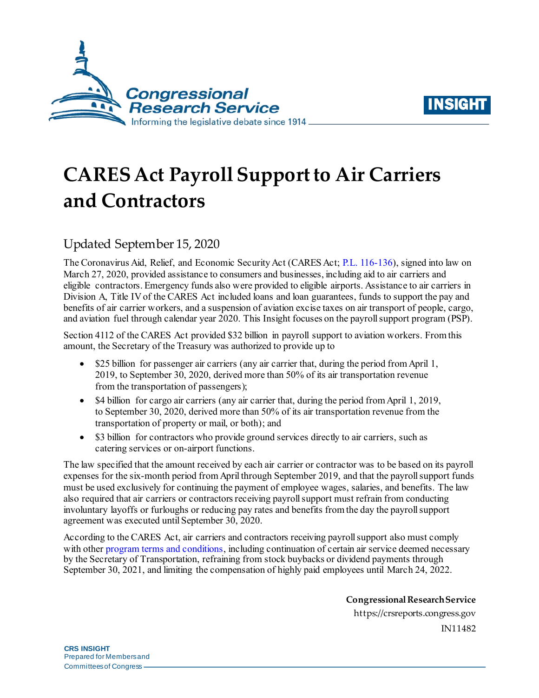



# **CARES Act Payroll Support to Air Carriers and Contractors**

## Updated September 15, 2020

The Coronavirus Aid, Relief, and Economic Security Act (CARES Act; [P.L. 116-136\)](http://www.congress.gov/cgi-lis/bdquery/R?d116:FLD002:@1(116+136)), signed into law on March 27, 2020, provided assistance to consumers and businesses, including aid to air carriers and eligible contractors. Emergency funds also were provided to eligible airports. Assistance to air carriers in Division A, Title IV of the CARES Act included loans and loan guarantees, funds to support the pay and benefits of air carrier workers, and a suspension of aviation excise taxes on air transport of people, cargo, and aviation fuel through calendar year 2020. This Insight focuses on the payroll support program (PSP).

Section 4112 of the CARES Act provided \$32 billion in payroll support to aviation workers. From this amount, the Secretary of the Treasury was authorized to provide up to

- \$25 billion for passenger air carriers (any air carrier that, during the period from April 1, 2019, to September 30, 2020, derived more than 50% of its air transportation revenue from the transportation of passengers);
- \$4 billion for cargo air carriers (any air carrier that, during the period from April 1, 2019, to September 30, 2020, derived more than 50% of its air transportation revenue from the transportation of property or mail, or both); and
- \$3 billion for contractors who provide ground services directly to air carriers, such as catering services or on-airport functions.

The law specified that the amount received by each air carrier or contractor was to be based on its payroll expenses for the six-month period from April through September 2019, and that the payroll support funds must be used exclusively for continuing the payment of employee wages, salaries, and benefits. The law also required that air carriers or contractors receiving payroll support must refrain from conducting involuntary layoffs or furloughs or reducing pay rates and benefits from the day the payroll support agreement was executed until September 30, 2020.

According to the CARES Act, air carriers and contractors receiving payroll support also must comply with othe[r program terms and conditions,](https://home.treasury.gov/system/files/136/Form-of-PSP-Agreement.pdf) including continuation of certain air service deemed necessary by the Secretary of Transportation, refraining from stock buybacks or dividend payments through September 30, 2021, and limiting the compensation of highly paid employees until March 24, 2022.

> **Congressional Research Service** https://crsreports.congress.gov IN11482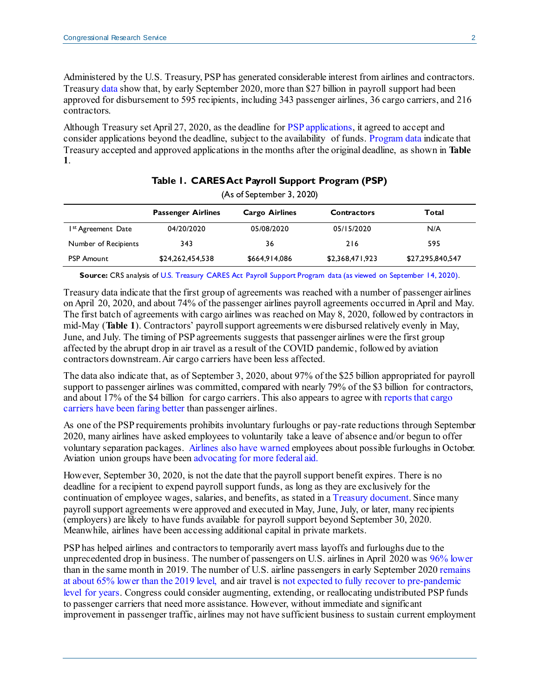Administered by the U.S. Treasury, PSP has generated considerable interest from airlines and contractors. Treasur[y data](https://home.treasury.gov/policy-issues/cares/preserving-jobs-for-american-industry/payroll-support-program-payments) show that, by early September 2020, more than \$27 billion in payroll support had been approved for disbursement to 595 recipients, including 343 passenger airlines, 36 cargo carriers, and 216 contractors.

Although Treasury set April 27, 2020, as the deadline for PSP [applications,](https://home.treasury.gov/system/files/136/Payroll-Support-Procedures-Form-FINAL.pdf) it agreed to accept and consider applications beyond the deadline, subject to the availability of funds[. Program data](https://home.treasury.gov/policy-issues/cares/preserving-jobs-for-american-industry/payroll-support-program-payments) indicate that Treasury accepted and approved applications in the months after the original deadline, as shown in **[Table](#page-1-0)  [1](#page-1-0)**.

<span id="page-1-0"></span>

| (As of September 3, 2020)      |                           |                       |                    |                  |
|--------------------------------|---------------------------|-----------------------|--------------------|------------------|
|                                | <b>Passenger Airlines</b> | <b>Cargo Airlines</b> | <b>Contractors</b> | Total            |
| I <sup>st</sup> Agreement Date | 04/20/2020                | 05/08/2020            | 05/15/2020         | N/A              |
| Number of Recipients           | 343                       | 36                    | 216                | 595              |
| <b>PSP Amount</b>              | \$24,262,454,538          | \$664,914,086         | \$2,368,471,923    | \$27,295,840,547 |

#### **Table 1. CARES Act Payroll Support Program (PSP)**

**Source:** CRS analysis of [U.S. Treasury CARES Act Payroll Support Program data](https://home.treasury.gov/policy-issues/cares/preserving-jobs-for-american-industry/payroll-support-program-payments) (as viewed on September 14, 2020).

Treasury data indicate that the first group of agreements was reached with a number of passenger airlines on April 20, 2020, and about 74% of the passenger airlines payroll agreements occurred in April and May. The first batch of agreements with cargo airlines was reached on May 8, 2020, followed by contractors in mid-May (**[Table 1](#page-1-0)**). Contractors' payroll support agreements were disbursed relatively evenly in May, June, and July. The timing of PSP agreements suggests that passenger airlines were the first group affected by the abrupt drop in air travel as a result of the COVID pandemic, followed by aviation contractors downstream.Air cargo carriers have been less affected.

The data also indicate that, as of September 3, 2020, about 97% of the \$25 billion appropriated for payroll support to passenger airlines was committed, compared with nearly 79% of the \$3 billion for contractors, and about 17% of the \$4 billion for cargo carriers. This also appears to agree with [reports](https://www.forbes.com/sites/willhorton1/2020/04/21/american-airlines-and-united-fly-more-cargo-flights-than-long-haul-passenger-services/#485703c4be6a) [that](https://www.latimes.com/business/story/2020-03-31/airlines-passengers-cargo-coronavirus-crisis) [cargo](https://www.popularmechanics.com/flight/airlines/a31914424/passenger-airliners-cargo-planes/) [carriers](https://www.nytimes.com/2020/05/25/business/coronavirus-airlines-cargo-passengers.html) have been [faring](https://www.ft.com/content/c84351be-bf98-4831-9e7f-428f9c01f06b) better than passenger airlines.

As one of the PSP requirements prohibits involuntary furloughs or pay-rate reductions through September 2020, many airlines have asked employees to voluntarily take a leave of absence and/or begun to offer voluntary separation packages. [Airlines also](https://www.startribune.com/delta-won-t-furlough-flight-attendants-ground-workers/572417442/) [have warned](https://abcnews.go.com/Politics/united-airlines-furlough-16000-employees/story?id=72771897) employees about possible furloughs in October. Aviation union groups have been [advocating for](https://www.reuters.com/article/us-health-coronavirus-aviation/u-s-aviation-unions-ask-congress-for-another-32-billion-bailout-idUSKBN23W3IZ) [more](https://thehill.com/policy/transportation/aviation/504654-aviation-workers-unions-ask-congress-for-another-32-billion-in) [federal aid.](https://www.startribune.com/airlines-unions-running-out-of-time-to-get-more-federal-aid/572374472/)

However, September 30, 2020, is not the date that the payroll support benefit expires. There is no deadline for a recipient to expend payroll support funds, as long as they are exclusively for the continuation of employee wages, salaries, and benefits, as stated in a [Treasury document](https://home.treasury.gov/system/files/136/PSP-FAQs-4-20-20.pdf). Since many payroll support agreements were approved and executed in May, June, July, or later, many recipients (employers) are likely to have funds available for payroll support beyond September 30, 2020. Meanwhile, airlines have been accessing additional capital in private markets.

PSP has helped airlines and contractors to temporarily avert mass layoffs and furloughs due to the unprecedented drop in business. The number of passengers on U.S. airlines in April 2020 wa[s 96% lower](https://www.bts.gov/newsroom/us-airline-june-2020-passengers-decrease-80-june-2019-rise-93-may-2020-preliminary) than in the same month in 2019. The number of U.S. airline passengers in early September 202[0 remains](https://www.airlines.org/dataset/impact-of-covid19-data-updates/) [at about 65% lower than the 2019 level,](https://www.airlines.org/dataset/impact-of-covid19-data-updates/) and air travel is [not expected to fully recover to pre-pandemic](https://www.airlines.org/dataset/impact-of-covid19-data-updates/)  [level for years.](https://www.airlines.org/dataset/impact-of-covid19-data-updates/) Congress could consider augmenting, extending, or reallocating undistributed PSP funds to passenger carriers that need more assistance. However, without immediate and significant improvement in passenger traffic, airlines may not have sufficient business to sustain current employment